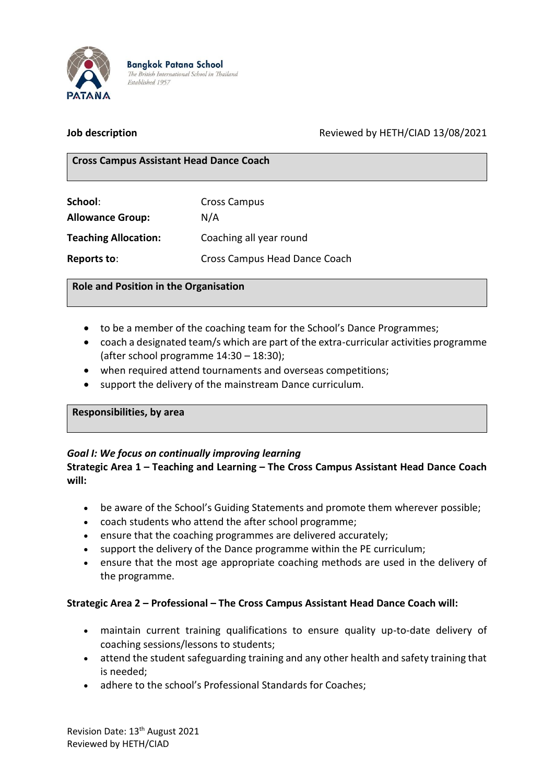

**Bangkok Patana School** The British International School in Thailand Established 1957

## **Job description** Reviewed by HETH/CIAD 13/08/2021

#### **Cross Campus Assistant Head Dance Coach**

| School:                     | <b>Cross Campus</b>           |  |
|-----------------------------|-------------------------------|--|
| <b>Allowance Group:</b>     | N/A                           |  |
| <b>Teaching Allocation:</b> | Coaching all year round       |  |
| Reports to:                 | Cross Campus Head Dance Coach |  |

#### **Role and Position in the Organisation**

- to be a member of the coaching team for the School's Dance Programmes;
- coach a designated team/s which are part of the extra-curricular activities programme (after school programme 14:30 – 18:30);
- when required attend tournaments and overseas competitions;
- support the delivery of the mainstream Dance curriculum.

#### **Responsibilities, by area**

## *Goal I: We focus on continually improving learning*

#### **Strategic Area 1 – Teaching and Learning – The Cross Campus Assistant Head Dance Coach will:**

- be aware of the School's Guiding Statements and promote them wherever possible;
- coach students who attend the after school programme;
- ensure that the coaching programmes are delivered accurately;
- support the delivery of the Dance programme within the PE curriculum;
- ensure that the most age appropriate coaching methods are used in the delivery of the programme.

## **Strategic Area 2 – Professional – The Cross Campus Assistant Head Dance Coach will:**

- maintain current training qualifications to ensure quality up-to-date delivery of coaching sessions/lessons to students;
- attend the student safeguarding training and any other health and safety training that is needed;
- adhere to the school's Professional Standards for Coaches;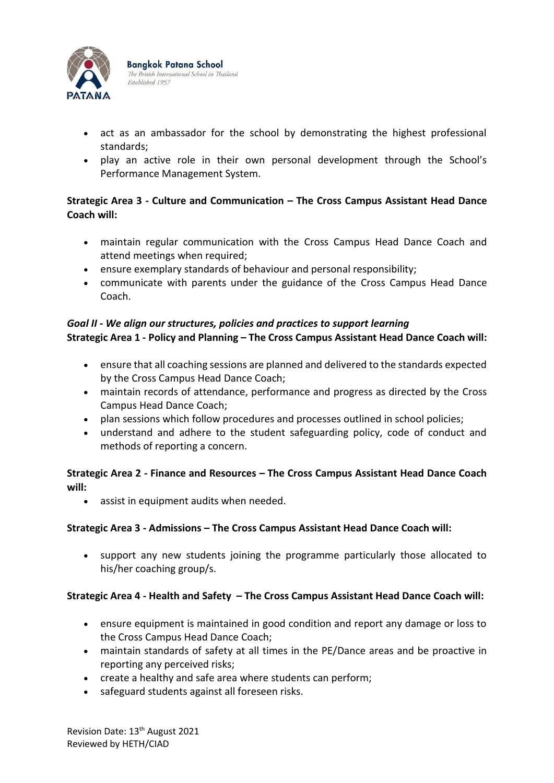

- act as an ambassador for the school by demonstrating the highest professional standards;
- play an active role in their own personal development through the School's Performance Management System.

# **Strategic Area 3 - Culture and Communication – The Cross Campus Assistant Head Dance Coach will:**

- maintain regular communication with the Cross Campus Head Dance Coach and attend meetings when required;
- ensure exemplary standards of behaviour and personal responsibility;
- communicate with parents under the guidance of the Cross Campus Head Dance Coach.

## *Goal II - We align our structures, policies and practices to support learning* **Strategic Area 1 - Policy and Planning – The Cross Campus Assistant Head Dance Coach will:**

- ensure that all coaching sessions are planned and delivered to the standards expected by the Cross Campus Head Dance Coach;
- maintain records of attendance, performance and progress as directed by the Cross Campus Head Dance Coach;
- plan sessions which follow procedures and processes outlined in school policies;
- understand and adhere to the student safeguarding policy, code of conduct and methods of reporting a concern.

# **Strategic Area 2 - Finance and Resources – The Cross Campus Assistant Head Dance Coach will:**

• assist in equipment audits when needed.

## **Strategic Area 3 - Admissions – The Cross Campus Assistant Head Dance Coach will:**

• support any new students joining the programme particularly those allocated to his/her coaching group/s.

# **Strategic Area 4 - Health and Safety – The Cross Campus Assistant Head Dance Coach will:**

- ensure equipment is maintained in good condition and report any damage or loss to the Cross Campus Head Dance Coach;
- maintain standards of safety at all times in the PE/Dance areas and be proactive in reporting any perceived risks;
- create a healthy and safe area where students can perform;
- safeguard students against all foreseen risks.